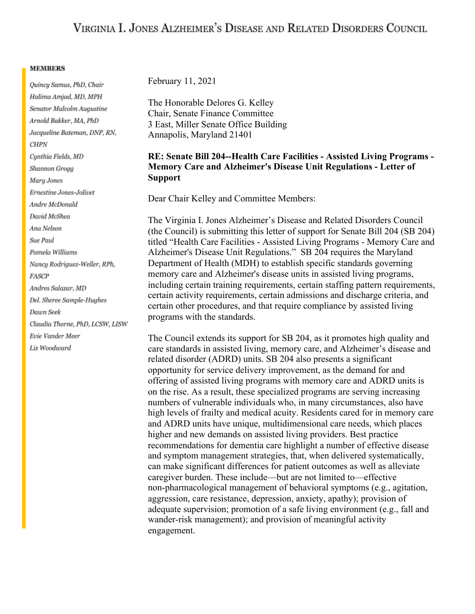## VIRGINIA I. JONES ALZHEIMER'S DISEASE AND RELATED DISORDERS COUNCIL

## **MEMBERS**

Quincy Samus, PhD, Chair Halima Amjad, MD, MPH Senator Malcolm Augustine Arnold Bakker, MA, PhD Jacqueline Bateman, DNP, RN, **CHPN** Cynthia Fields, MD Shannon Grogg Mary Jones Ernestine Jones-Jolivet Andre McDonald David McShea Ana Nelson Sue Paul Pamela Williams Nancy Rodriguez-Weller, RPh, **FASCP** Andres Salazar, MD Del. Sheree Sample-Hughes Dawn Seek Claudia Thorne, PhD, LCSW, LISW Evie Vander Meer Liz Woodward

February 11, 2021

The Honorable Delores G. Kelley Chair, Senate Finance Committee 3 East, Miller Senate Office Building Annapolis, Maryland 21401

## **RE: Senate Bill 204--Health Care Facilities - Assisted Living Programs - Memory Care and Alzheimer's Disease Unit Regulations - Letter of Support**

Dear Chair Kelley and Committee Members:

The Virginia I. Jones Alzheimer's Disease and Related Disorders Council (the Council) is submitting this letter of support for Senate Bill 204 (SB 204) titled "Health Care Facilities - Assisted Living Programs - Memory Care and Alzheimer's Disease Unit Regulations." SB 204 requires the Maryland Department of Health (MDH) to establish specific standards governing memory care and Alzheimer's disease units in assisted living programs, including certain training requirements, certain staffing pattern requirements, certain activity requirements, certain admissions and discharge criteria, and certain other procedures, and that require compliance by assisted living programs with the standards.

The Council extends its support for SB 204, as it promotes high quality and care standards in assisted living, memory care, and Alzheimer's disease and related disorder (ADRD) units. SB 204 also presents a significant opportunity for service delivery improvement, as the demand for and offering of assisted living programs with memory care and ADRD units is on the rise. As a result, these specialized programs are serving increasing numbers of vulnerable individuals who, in many circumstances, also have high levels of frailty and medical acuity. Residents cared for in memory care and ADRD units have unique, multidimensional care needs, which places higher and new demands on assisted living providers. Best practice recommendations for dementia care highlight a number of effective disease and symptom management strategies, that, when delivered systematically, can make significant differences for patient outcomes as well as alleviate caregiver burden. These include—but are not limited to—effective non-pharmacological management of behavioral symptoms (e.g., agitation, aggression, care resistance, depression, anxiety, apathy); provision of adequate supervision; promotion of a safe living environment (e.g., fall and wander-risk management); and provision of meaningful activity engagement.